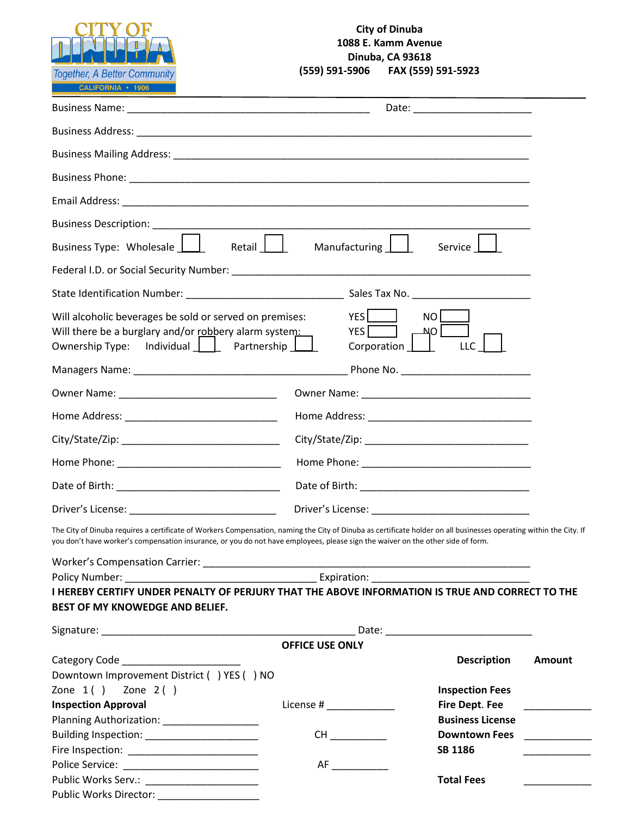

## **City of Dinuba 1088 E. Kamm Avenue Dinuba, CA 93618**<br>**(559) 591-5906 FAX** (559) **(559) 591-5906 FAX (559) 591-5923**

| Business Type: Wholesale<br>Retail                                                                                                                                                                                                                                                                    | Manufacturing                      | Service                 |                                                                                                                       |  |  |
|-------------------------------------------------------------------------------------------------------------------------------------------------------------------------------------------------------------------------------------------------------------------------------------------------------|------------------------------------|-------------------------|-----------------------------------------------------------------------------------------------------------------------|--|--|
|                                                                                                                                                                                                                                                                                                       |                                    |                         |                                                                                                                       |  |  |
|                                                                                                                                                                                                                                                                                                       |                                    |                         |                                                                                                                       |  |  |
| Will alcoholic beverages be sold or served on premises:<br>Will there be a burglary and/or robbery alarm system:<br>Ownership Type: Individual     Partnership                                                                                                                                        | <b>YES</b><br>YES  <br>Corporation | NO<br><b>NO</b><br>LLC  |                                                                                                                       |  |  |
|                                                                                                                                                                                                                                                                                                       |                                    |                         |                                                                                                                       |  |  |
|                                                                                                                                                                                                                                                                                                       |                                    |                         |                                                                                                                       |  |  |
|                                                                                                                                                                                                                                                                                                       |                                    |                         |                                                                                                                       |  |  |
|                                                                                                                                                                                                                                                                                                       |                                    |                         |                                                                                                                       |  |  |
|                                                                                                                                                                                                                                                                                                       |                                    |                         |                                                                                                                       |  |  |
|                                                                                                                                                                                                                                                                                                       |                                    |                         |                                                                                                                       |  |  |
| Driver's License: National Private Contract of Contract Contract Contract Contract Contract Contract Contract Contract Contract Contract Contract Contract Contract Contract Contract Contract Contract Contract Contract Cont                                                                        |                                    |                         |                                                                                                                       |  |  |
| The City of Dinuba requires a certificate of Workers Compensation, naming the City of Dinuba as certificate holder on all businesses operating within the City. If<br>you don't have worker's compensation insurance, or you do not have employees, please sign the waiver on the other side of form. |                                    |                         |                                                                                                                       |  |  |
|                                                                                                                                                                                                                                                                                                       |                                    |                         |                                                                                                                       |  |  |
| Policy Number: Expiration: Expiration:                                                                                                                                                                                                                                                                |                                    |                         |                                                                                                                       |  |  |
| I HEREBY CERTIFY UNDER PENALTY OF PERJURY THAT THE ABOVE INFORMATION IS TRUE AND CORRECT TO THE<br>BEST OF MY KNOWEDGE AND BELIEF.                                                                                                                                                                    |                                    |                         |                                                                                                                       |  |  |
|                                                                                                                                                                                                                                                                                                       |                                    |                         |                                                                                                                       |  |  |
|                                                                                                                                                                                                                                                                                                       | <b>OFFICE USE ONLY</b>             |                         |                                                                                                                       |  |  |
|                                                                                                                                                                                                                                                                                                       |                                    | <b>Description</b>      | Amount                                                                                                                |  |  |
| Downtown Improvement District () YES () NO                                                                                                                                                                                                                                                            |                                    |                         |                                                                                                                       |  |  |
| Zone $1()$ Zone $2()$                                                                                                                                                                                                                                                                                 |                                    | <b>Inspection Fees</b>  |                                                                                                                       |  |  |
| <b>Inspection Approval</b>                                                                                                                                                                                                                                                                            | License # _____________            | <b>Fire Dept. Fee</b>   | <u> 1989 - Alban Alban III, primeir a populației de la primeira de la primeira de la primeira de la primeira de l</u> |  |  |
| Planning Authorization: ___________________                                                                                                                                                                                                                                                           |                                    | <b>Business License</b> |                                                                                                                       |  |  |
| Building Inspection: _________________________                                                                                                                                                                                                                                                        |                                    | <b>Downtown Fees</b>    | $\frac{1}{2}$ and $\frac{1}{2}$ and $\frac{1}{2}$ and $\frac{1}{2}$ and $\frac{1}{2}$ and $\frac{1}{2}$               |  |  |
|                                                                                                                                                                                                                                                                                                       |                                    | <b>SB 1186</b>          |                                                                                                                       |  |  |
|                                                                                                                                                                                                                                                                                                       | AF                                 |                         |                                                                                                                       |  |  |
|                                                                                                                                                                                                                                                                                                       |                                    | <b>Total Fees</b>       |                                                                                                                       |  |  |
| Public Works Director: ______________________                                                                                                                                                                                                                                                         |                                    |                         |                                                                                                                       |  |  |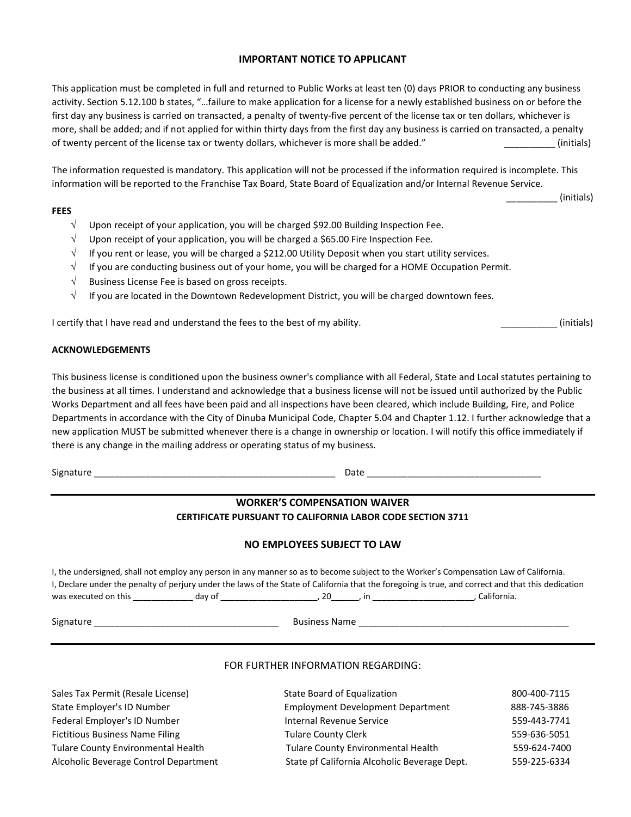#### **IMPORTANT NOTICE TO APPLICANT**

This application must be completed in full and returned to Public Works at least ten (0) days PRIOR to conducting any business activity. Section 5.12.100 b states, "…failure to make application for a license for a newly established business on or before the first day any business is carried on transacted, a penalty of twenty-five percent of the license tax or ten dollars, whichever is more, shall be added; and if not applied for within thirty days from the first day any business is carried on transacted, a penalty of twenty percent of the license tax or twenty dollars, whichever is more shall be added." (initials)

The information requested is mandatory. This application will not be processed if the information required is incomplete. This information will be reported to the Franchise Tax Board, State Board of Equalization and/or Internal Revenue Service.

#### **FEES**

- $\sqrt{\phantom{a}}$  Upon receipt of your application, you will be charged \$92.00 Building Inspection Fee.
- $\sqrt{\phantom{a}}$  Upon receipt of your application, you will be charged a \$65.00 Fire Inspection Fee.
- √ If you rent or lease, you will be charged a \$212.00 Utility Deposit when you start utility services.
- $\sqrt{\phantom{a}}$  If you are conducting business out of your home, you will be charged for a HOME Occupation Permit.
- √ Business License Fee is based on gross receipts.
- $\sqrt{\phantom{a}}$  If you are located in the Downtown Redevelopment District, you will be charged downtown fees.

I certify that I have read and understand the fees to the best of my ability. **Example 20** (initials)

#### **ACKNOWLEDGEMENTS**

This business license is conditioned upon the business owner's compliance with all Federal, State and Local statutes pertaining to the business at all times. I understand and acknowledge that a business license will not be issued until authorized by the Public Works Department and all fees have been paid and all inspections have been cleared, which include Building, Fire, and Police Departments in accordance with the City of Dinuba Municipal Code, Chapter 5.04 and Chapter 1.12. I further acknowledge that a new application MUST be submitted whenever there is a change in ownership or location. I will notify this office immediately if there is any change in the mailing address or operating status of my business.

 $Signature \_\_\_\_\_\_\_$ 

### **WORKER'S COMPENSATION WAIVER CERTIFICATE PURSUANT TO CALIFORNIA LABOR CODE SECTION 3711**

#### **NO EMPLOYEES SUBJECT TO LAW**

I, the undersigned, shall not employ any person in any manner so as to become subject to the Worker's Compensation Law of California. I, Declare under the penalty of perjury under the laws of the State of California that the foregoing is true, and correct and that this dedication was executed on this \_\_\_\_\_\_\_\_\_\_\_\_\_ day of \_\_\_\_\_\_\_\_\_\_\_\_\_\_\_\_\_\_\_\_\_, 20\_\_\_\_\_\_, in \_\_\_\_\_\_\_\_\_\_\_\_\_\_\_\_\_\_\_\_\_\_, California.

Signature \_\_\_\_\_\_\_\_\_\_\_\_\_\_\_\_\_\_\_\_\_\_\_\_\_\_\_\_\_\_\_\_\_\_\_\_ Business Name \_\_\_\_\_\_\_\_\_\_\_\_\_\_\_\_\_\_\_\_\_\_\_\_\_\_\_\_\_\_\_\_\_\_\_\_\_\_\_\_\_

#### FOR FURTHER INFORMATION REGARDING:

Sales Tax Permit (Resale License) State Employer's ID Number Federal Employer's ID Number Fictitious Business Name Filing Tulare County Environmental Health Alcoholic Beverage Control Department

| State Board of Equalization                  | 800-400-7115 |
|----------------------------------------------|--------------|
| <b>Employment Development Department</b>     | 888-745-3886 |
| Internal Revenue Service                     | 559-443-7741 |
| <b>Tulare County Clerk</b>                   | 559-636-5051 |
| Tulare County Environmental Health           | 559-624-7400 |
| State pf California Alcoholic Beverage Dept. | 559-225-6334 |

\_\_\_\_\_\_\_\_\_\_ (initials)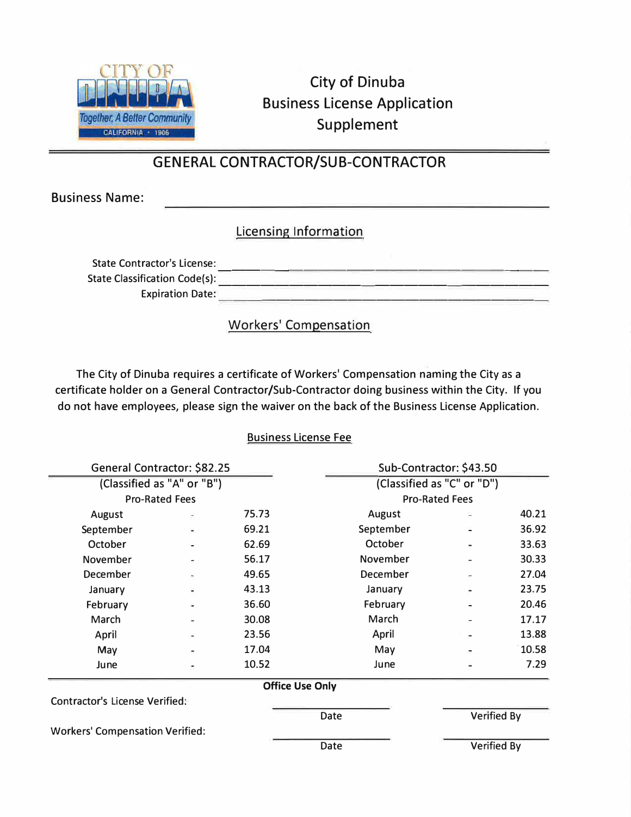

City of Dinuba Business License Application Supplement

# GENERAL CONTRACTOR/SUB-CONTRACTOR

Business Name:

## Licensing Information

| <b>State Contractor's License:</b>   |  |
|--------------------------------------|--|
| <b>State Classification Code(s):</b> |  |
| <b>Expiration Date:</b>              |  |

**Workers' Compensation** 

The City of Dinuba requires a certificate of Workers' Compensation naming the City as a certificate holder on a General Contractor/Sub-Contractor doing business within the City. If you do not have employees, please sign the waiver on the back of the Business License Application.

## Business License Fee

| General Contractor: \$82.25            |   |                        |                       | Sub-Contractor: \$43.50    |       |  |
|----------------------------------------|---|------------------------|-----------------------|----------------------------|-------|--|
| (Classified as "A" or "B")             |   |                        |                       | (Classified as "C" or "D") |       |  |
| <b>Pro-Rated Fees</b>                  |   |                        | <b>Pro-Rated Fees</b> |                            |       |  |
| August                                 | ÷ | 75.73                  | August                |                            | 40.21 |  |
| September                              |   | 69.21                  | September             |                            | 36.92 |  |
| October                                |   | 62.69                  | October               |                            | 33.63 |  |
| November                               |   | 56.17                  | November              |                            | 30.33 |  |
| December                               |   | 49.65                  | December              |                            | 27.04 |  |
| January                                |   | 43.13                  | January               |                            | 23.75 |  |
| February                               |   | 36.60                  | February              |                            | 20.46 |  |
| March                                  |   | 30.08                  | March                 |                            | 17.17 |  |
| April                                  |   | 23.56                  | April                 |                            | 13.88 |  |
| May                                    |   | 17.04                  | May                   |                            | 10.58 |  |
| June                                   |   | 10.52                  | June                  |                            | 7.29  |  |
|                                        |   | <b>Office Use Only</b> |                       |                            |       |  |
| <b>Contractor's License Verified:</b>  |   |                        |                       |                            |       |  |
|                                        |   | Date                   |                       | <b>Verified By</b>         |       |  |
| <b>Workers' Compensation Verified:</b> |   |                        |                       |                            |       |  |
|                                        |   | Date                   |                       | <b>Verified By</b>         |       |  |